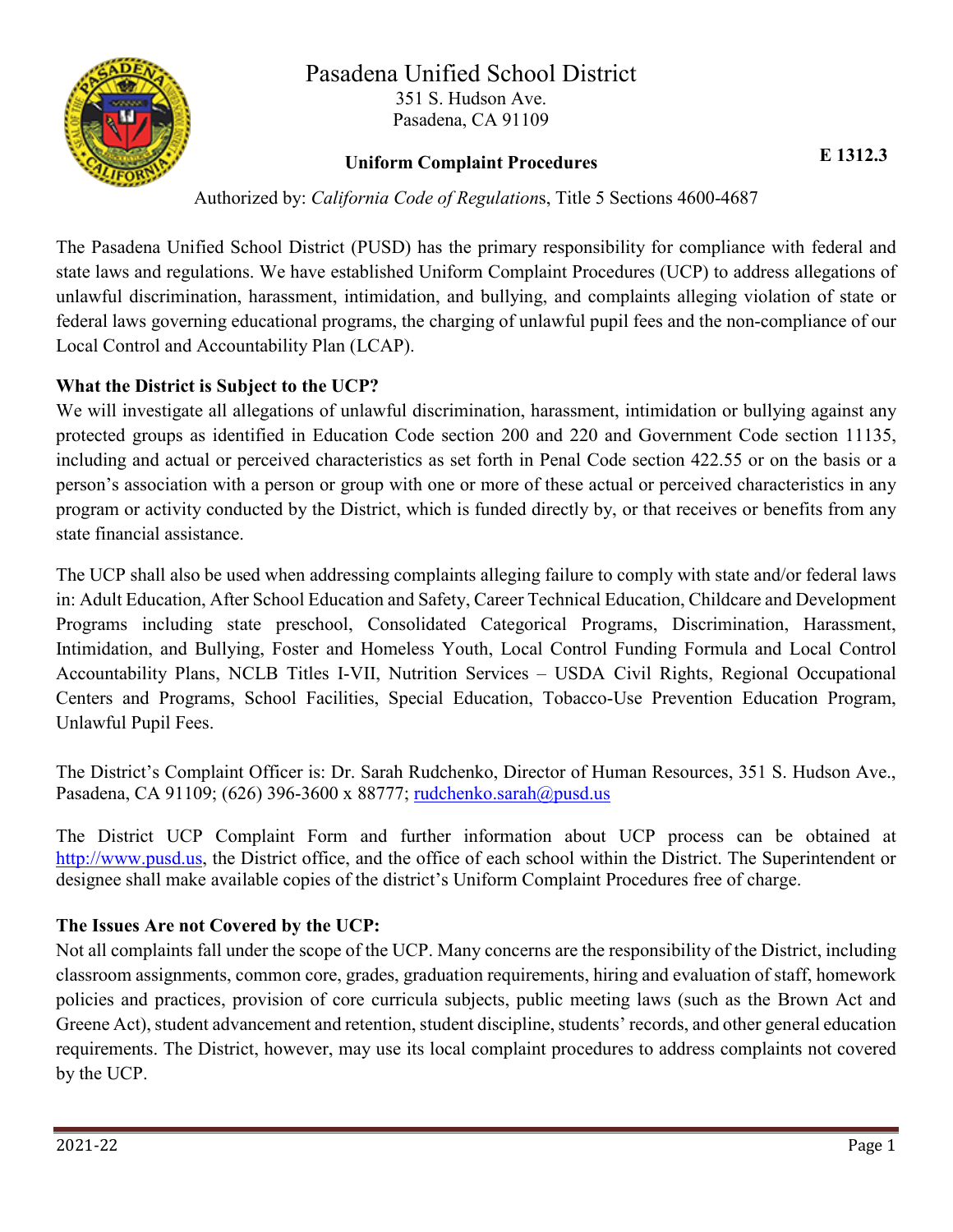

#### Pasadena Unified School District 351 S. Hudson Ave. Pasadena, CA 91109

# **Uniform Complaint Procedures E 1312.3**

Authorized by: *California Code of Regulation*s, Title 5 Sections 4600-4687

The Pasadena Unified School District (PUSD) has the primary responsibility for compliance with federal and state laws and regulations. We have established Uniform Complaint Procedures (UCP) to address allegations of unlawful discrimination, harassment, intimidation, and bullying, and complaints alleging violation of state or federal laws governing educational programs, the charging of unlawful pupil fees and the non-compliance of our Local Control and Accountability Plan (LCAP).

#### **What the District is Subject to the UCP?**

We will investigate all allegations of unlawful discrimination, harassment, intimidation or bullying against any protected groups as identified in Education Code section 200 and 220 and Government Code section 11135, including and actual or perceived characteristics as set forth in Penal Code section 422.55 or on the basis or a person's association with a person or group with one or more of these actual or perceived characteristics in any program or activity conducted by the District, which is funded directly by, or that receives or benefits from any state financial assistance.

The UCP shall also be used when addressing complaints alleging failure to comply with state and/or federal laws in: Adult Education, After School Education and Safety, Career Technical Education, Childcare and Development Programs including state preschool, Consolidated Categorical Programs, Discrimination, Harassment, Intimidation, and Bullying, Foster and Homeless Youth, Local Control Funding Formula and Local Control Accountability Plans, NCLB Titles I-VII, Nutrition Services – USDA Civil Rights, Regional Occupational Centers and Programs, School Facilities, Special Education, Tobacco-Use Prevention Education Program, Unlawful Pupil Fees.

The District's Complaint Officer is: Dr. Sarah Rudchenko, Director of Human Resources, 351 S. Hudson Ave., Pasadena, CA 91109; (626) 396-3600 x 88777; [rudchenko.sarah@pusd.us](mailto:rudchenko.sarah@pusd.us)

The District UCP Complaint Form and further information about UCP process can be obtained at [http://www.pusd.us,](http://www.pusd.us/) the District office, and the office of each school within the District. The Superintendent or designee shall make available copies of the district's Uniform Complaint Procedures free of charge.

#### **The Issues Are not Covered by the UCP:**

Not all complaints fall under the scope of the UCP. Many concerns are the responsibility of the District, including classroom assignments, common core, grades, graduation requirements, hiring and evaluation of staff, homework policies and practices, provision of core curricula subjects, public meeting laws (such as the Brown Act and Greene Act), student advancement and retention, student discipline, students' records, and other general education requirements. The District, however, may use its local complaint procedures to address complaints not covered by the UCP.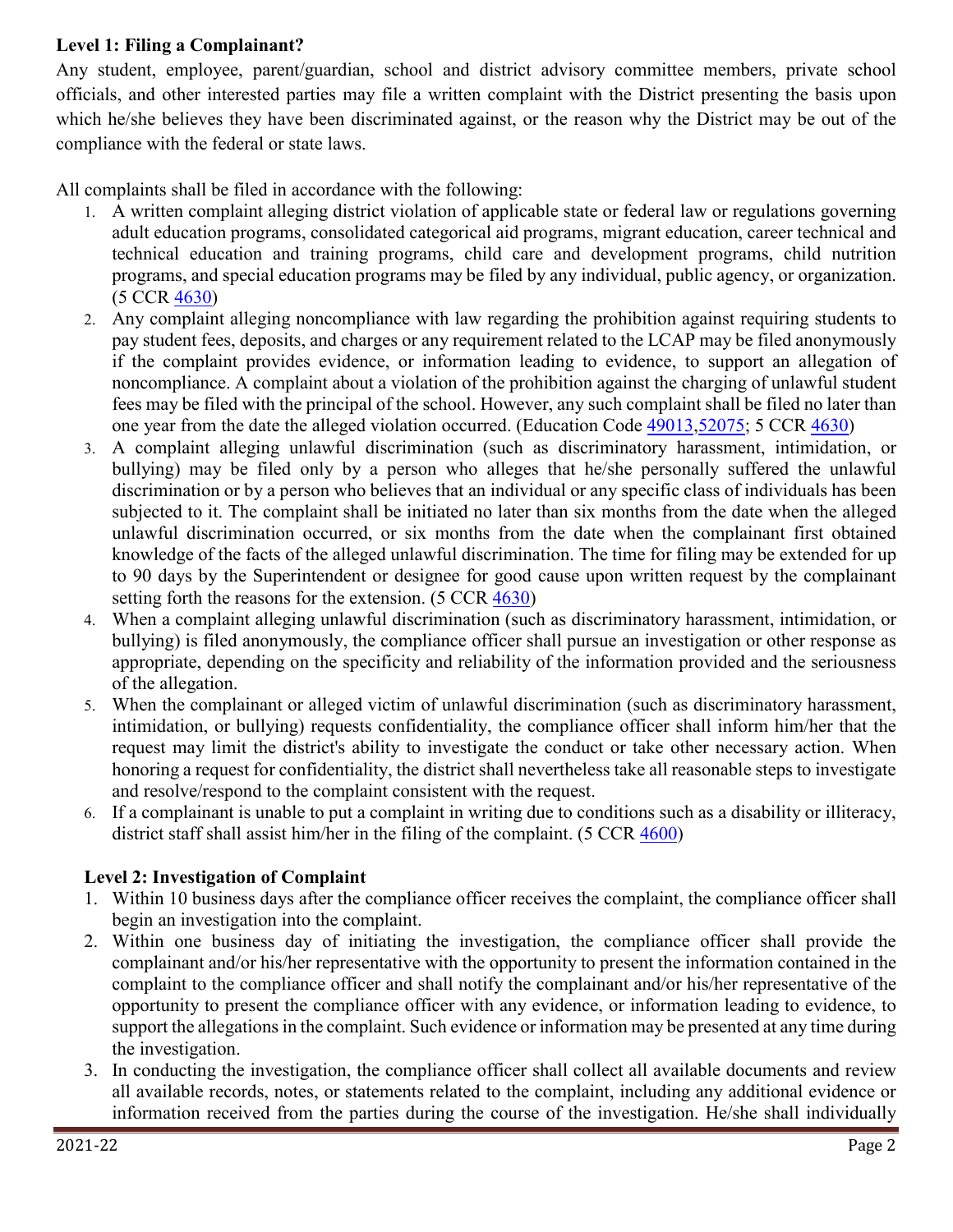#### **Level 1: Filing a Complainant?**

Any student, employee, parent/guardian, school and district advisory committee members, private school officials, and other interested parties may file a written complaint with the District presenting the basis upon which he/she believes they have been discriminated against, or the reason why the District may be out of the compliance with the federal or state laws.

All complaints shall be filed in accordance with the following:

- 1. A written complaint alleging district violation of applicable state or federal law or regulations governing adult education programs, consolidated categorical aid programs, migrant education, career technical and technical education and training programs, child care and development programs, child nutrition programs, and special education programs may be filed by any individual, public agency, or organization. (5 CCR [4630\)](http://gamutonline.net/displayPolicy/187026/1)
- 2. Any complaint alleging noncompliance with law regarding the prohibition against requiring students to pay student fees, deposits, and charges or any requirement related to the LCAP may be filed anonymously if the complaint provides evidence, or information leading to evidence, to support an allegation of noncompliance. A complaint about a violation of the prohibition against the charging of unlawful student fees may be filed with the principal of the school. However, any such complaint shall be filed no later than one year from the date the alleged violation occurred. (Education Code [49013,](http://gamutonline.net/displayPolicy/781186/1)[52075;](http://gamutonline.net/displayPolicy/899535/1) 5 CCR [4630\)](http://gamutonline.net/displayPolicy/187026/1)
- 3. A complaint alleging unlawful discrimination (such as discriminatory harassment, intimidation, or bullying) may be filed only by a person who alleges that he/she personally suffered the unlawful discrimination or by a person who believes that an individual or any specific class of individuals has been subjected to it. The complaint shall be initiated no later than six months from the date when the alleged unlawful discrimination occurred, or six months from the date when the complainant first obtained knowledge of the facts of the alleged unlawful discrimination. The time for filing may be extended for up to 90 days by the Superintendent or designee for good cause upon written request by the complainant setting forth the reasons for the extension. (5 CCR [4630\)](http://gamutonline.net/displayPolicy/187026/1)
- 4. When a complaint alleging unlawful discrimination (such as discriminatory harassment, intimidation, or bullying) is filed anonymously, the compliance officer shall pursue an investigation or other response as appropriate, depending on the specificity and reliability of the information provided and the seriousness of the allegation.
- 5. When the complainant or alleged victim of unlawful discrimination (such as discriminatory harassment, intimidation, or bullying) requests confidentiality, the compliance officer shall inform him/her that the request may limit the district's ability to investigate the conduct or take other necessary action. When honoring a request for confidentiality, the district shall nevertheless take all reasonable steps to investigate and resolve/respond to the complaint consistent with the request.
- 6. If a complainant is unable to put a complaint in writing due to conditions such as a disability or illiteracy, district staff shall assist him/her in the filing of the complaint. (5 CCR [4600\)](http://gamutonline.net/displayPolicy/187020/1)

## **Level 2: Investigation of Complaint**

- 1. Within 10 business days after the compliance officer receives the complaint, the compliance officer shall begin an investigation into the complaint.
- 2. Within one business day of initiating the investigation, the compliance officer shall provide the complainant and/or his/her representative with the opportunity to present the information contained in the complaint to the compliance officer and shall notify the complainant and/or his/her representative of the opportunity to present the compliance officer with any evidence, or information leading to evidence, to support the allegations in the complaint. Such evidence or information may be presented at any time during the investigation.
- 3. In conducting the investigation, the compliance officer shall collect all available documents and review all available records, notes, or statements related to the complaint, including any additional evidence or information received from the parties during the course of the investigation. He/she shall individually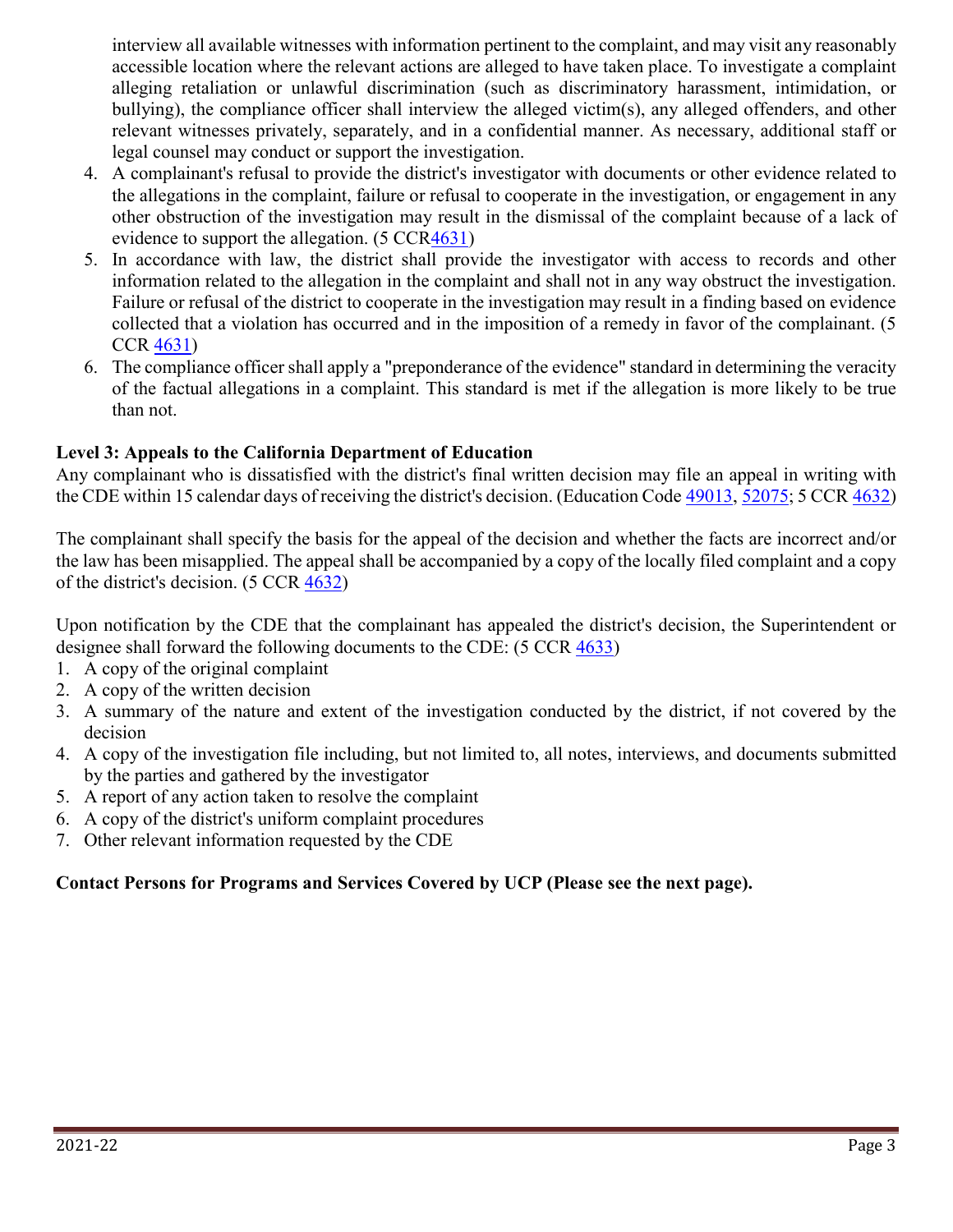interview all available witnesses with information pertinent to the complaint, and may visit any reasonably accessible location where the relevant actions are alleged to have taken place. To investigate a complaint alleging retaliation or unlawful discrimination (such as discriminatory harassment, intimidation, or bullying), the compliance officer shall interview the alleged victim(s), any alleged offenders, and other relevant witnesses privately, separately, and in a confidential manner. As necessary, additional staff or legal counsel may conduct or support the investigation.

- 4. A complainant's refusal to provide the district's investigator with documents or other evidence related to the allegations in the complaint, failure or refusal to cooperate in the investigation, or engagement in any other obstruction of the investigation may result in the dismissal of the complaint because of a lack of evidence to support the allegation. (5 CC[R4631\)](http://gamutonline.net/displayPolicy/187027/1)
- 5. In accordance with law, the district shall provide the investigator with access to records and other information related to the allegation in the complaint and shall not in any way obstruct the investigation. Failure or refusal of the district to cooperate in the investigation may result in a finding based on evidence collected that a violation has occurred and in the imposition of a remedy in favor of the complainant. (5 CCR [4631\)](http://gamutonline.net/displayPolicy/187027/1)
- 6. The compliance officer shall apply a "preponderance of the evidence" standard in determining the veracity of the factual allegations in a complaint. This standard is met if the allegation is more likely to be true than not.

#### **Level 3: Appeals to the California Department of Education**

Any complainant who is dissatisfied with the district's final written decision may file an appeal in writing with the CDE within 15 calendar days of receiving the district's decision. (Education Code [49013,](http://gamutonline.net/displayPolicy/781186/1) [52075;](http://gamutonline.net/displayPolicy/899535/1) 5 CCR [4632\)](http://gamutonline.net/displayPolicy/187028/1)

The complainant shall specify the basis for the appeal of the decision and whether the facts are incorrect and/or the law has been misapplied. The appeal shall be accompanied by a copy of the locally filed complaint and a copy of the district's decision. (5 CCR [4632\)](http://gamutonline.net/displayPolicy/187028/1)

Upon notification by the CDE that the complainant has appealed the district's decision, the Superintendent or designee shall forward the following documents to the CDE: (5 CCR [4633\)](http://gamutonline.net/displayPolicy/390294/1)

- 1. A copy of the original complaint
- 2. A copy of the written decision
- 3. A summary of the nature and extent of the investigation conducted by the district, if not covered by the decision
- 4. A copy of the investigation file including, but not limited to, all notes, interviews, and documents submitted by the parties and gathered by the investigator
- 5. A report of any action taken to resolve the complaint
- 6. A copy of the district's uniform complaint procedures
- 7. Other relevant information requested by the CDE

#### **Contact Persons for Programs and Services Covered by UCP (Please see the next page).**